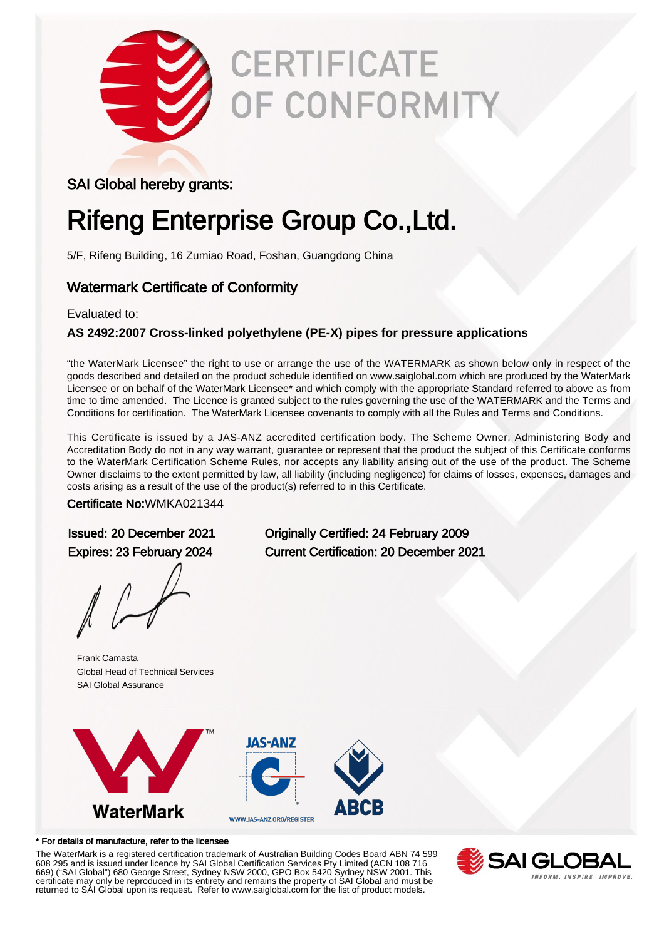

# **CERTIFICATE** OF CONFORMITY

### SAI Global hereby grants:

# Rifeng Enterprise Group Co.,Ltd.

5/F, Rifeng Building, 16 Zumiao Road, Foshan, Guangdong China

### Watermark Certificate of Conformity

#### Evaluated to:

### **AS 2492:2007 Cross-linked polyethylene (PE-X) pipes for pressure applications**

"the WaterMark Licensee" the right to use or arrange the use of the WATERMARK as shown below only in respect of the goods described and detailed on the product schedule identified on www.saiglobal.com which are produced by the WaterMark Licensee or on behalf of the WaterMark Licensee\* and which comply with the appropriate Standard referred to above as from time to time amended. The Licence is granted subject to the rules governing the use of the WATERMARK and the Terms and Conditions for certification. The WaterMark Licensee covenants to comply with all the Rules and Terms and Conditions.

This Certificate is issued by a JAS-ANZ accredited certification body. The Scheme Owner, Administering Body and Accreditation Body do not in any way warrant, guarantee or represent that the product the subject of this Certificate conforms to the WaterMark Certification Scheme Rules, nor accepts any liability arising out of the use of the product. The Scheme Owner disclaims to the extent permitted by law, all liability (including negligence) for claims of losses, expenses, damages and costs arising as a result of the use of the product(s) referred to in this Certificate.

#### Certificate No:WMKA021344

Frank Camasta Global Head of Technical Services SAI Global Assurance

Issued: 20 December 2021 Originally Certified: 24 February 2009 Expires: 23 February 2024 Current Certification: 20 December 2021



#### \* For details of manufacture, refer to the licensee

The WaterMark is a registered certification trademark of Australian Building Codes Board ABN 74 599 608 295 and is issued under licence by SAI Global Certification Services Pty Limited (ACN 108 716 669) ("SAI Global") 680 George Street, Sydney NSW 2000, GPO Box 5420 Sydney NSW 2001. This certificate may only be reproduced in its entirety and remains the property of SAI Global and must be returned to SAI Global upon its request. Refer to www.saiglobal.com for the list of product models.

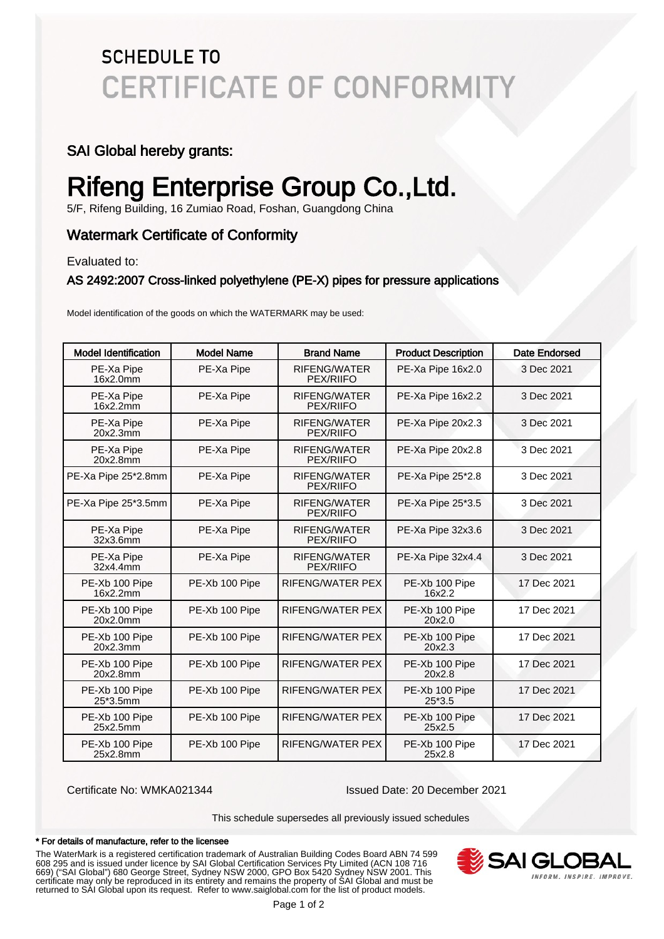### **SCHEDULE TO CERTIFICATE OF CONFORMITY**

### SAI Global hereby grants:

# Rifeng Enterprise Group Co.,Ltd.

5/F, Rifeng Building, 16 Zumiao Road, Foshan, Guangdong China

### Watermark Certificate of Conformity

Evaluated to:

#### AS 2492:2007 Cross-linked polyethylene (PE-X) pipes for pressure applications

Model identification of the goods on which the WATERMARK may be used:

| Model Identification       | <b>Model Name</b> | <b>Brand Name</b>                       | <b>Product Description</b> | Date Endorsed |
|----------------------------|-------------------|-----------------------------------------|----------------------------|---------------|
| PE-Xa Pipe<br>16x2.0mm     | PE-Xa Pipe        | <b>RIFENG/WATER</b><br>PEX/RIIFO        | PE-Xa Pipe 16x2.0          | 3 Dec 2021    |
| PE-Xa Pipe<br>16x2.2mm     | PE-Xa Pipe        | RIFENG/WATER<br>PEX/RIIFO               | PE-Xa Pipe 16x2.2          | 3 Dec 2021    |
| PE-Xa Pipe<br>20x2.3mm     | PE-Xa Pipe        | RIFENG/WATER<br>PEX/RIIFO               | PE-Xa Pipe 20x2.3          | 3 Dec 2021    |
| PE-Xa Pipe<br>20x2.8mm     | PE-Xa Pipe        | RIFENG/WATER<br>PEX/RIIFO               | PE-Xa Pipe 20x2.8          | 3 Dec 2021    |
| PE-Xa Pipe 25*2.8mm        | PE-Xa Pipe        | <b>RIFENG/WATER</b><br><b>PEX/RIIFO</b> | PE-Xa Pipe 25*2.8          | 3 Dec 2021    |
| PE-Xa Pipe 25*3.5mm        | PE-Xa Pipe        | RIFENG/WATER<br>PEX/RIIFO               | PE-Xa Pipe 25*3.5          | 3 Dec 2021    |
| PE-Xa Pipe<br>32x3.6mm     | PE-Xa Pipe        | <b>RIFENG/WATER</b><br>PEX/RIIFO        | PE-Xa Pipe 32x3.6          | 3 Dec 2021    |
| PE-Xa Pipe<br>32x4.4mm     | PE-Xa Pipe        | RIFENG/WATER<br>PEX/RIIFO               | PE-Xa Pipe 32x4.4          | 3 Dec 2021    |
| PE-Xb 100 Pipe<br>16x2.2mm | PE-Xb 100 Pipe    | <b>RIFENG/WATER PEX</b>                 | PE-Xb 100 Pipe<br>16x2.2   | 17 Dec 2021   |
| PE-Xb 100 Pipe<br>20x2.0mm | PE-Xb 100 Pipe    | RIFENG/WATER PEX                        | PE-Xb 100 Pipe<br>20x2.0   | 17 Dec 2021   |
| PE-Xb 100 Pipe<br>20x2.3mm | PE-Xb 100 Pipe    | <b>RIFENG/WATER PEX</b>                 | PE-Xb 100 Pipe<br>20x2.3   | 17 Dec 2021   |
| PE-Xb 100 Pipe<br>20x2.8mm | PE-Xb 100 Pipe    | RIFENG/WATER PEX                        | PE-Xb 100 Pipe<br>20x2.8   | 17 Dec 2021   |
| PE-Xb 100 Pipe<br>25*3.5mm | PE-Xb 100 Pipe    | RIFENG/WATER PEX                        | PE-Xb 100 Pipe<br>$25*3.5$ | 17 Dec 2021   |
| PE-Xb 100 Pipe<br>25x2.5mm | PE-Xb 100 Pipe    | RIFENG/WATER PEX                        | PE-Xb 100 Pipe<br>25x2.5   | 17 Dec 2021   |
| PE-Xb 100 Pipe<br>25x2.8mm | PE-Xb 100 Pipe    | <b>RIFENG/WATER PEX</b>                 | PE-Xb 100 Pipe<br>25x2.8   | 17 Dec 2021   |

Certificate No: WMKA021344 Issued Date: 20 December 2021

This schedule supersedes all previously issued schedules

#### \* For details of manufacture, refer to the licensee

The WaterMark is a registered certification trademark of Australian Building Codes Board ABN 74 599 608 295 and is issued under licence by SAI Global Certification Services Pty Limited (ACN 108 716 669) ("SAI Global") 680 George Street, Sydney NSW 2000, GPO Box 5420 Sydney NSW 2001. This certificate may only be reproduced in its entirety and remains the property of SAI Global and must be returned to SAI Global upon its request. Refer to www.saiglobal.com for the list of product models.